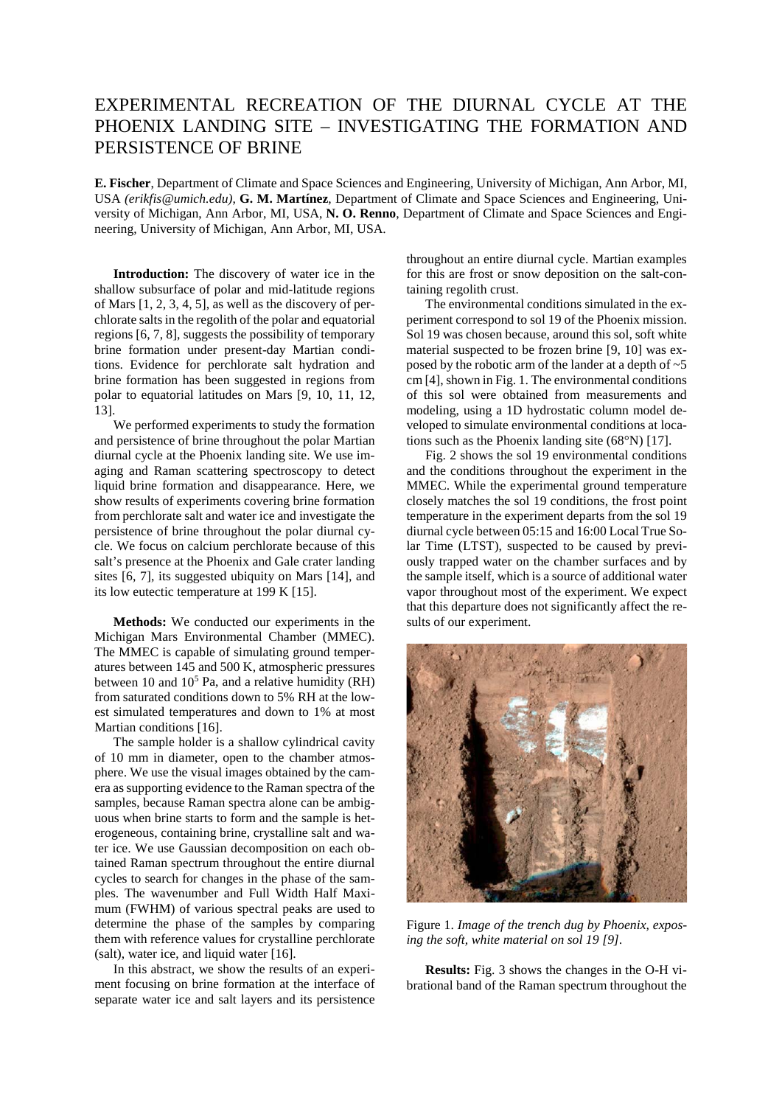## EXPERIMENTAL RECREATION OF THE DIURNAL CYCLE AT THE PHOENIX LANDING SITE – INVESTIGATING THE FORMATION AND PERSISTENCE OF BRINE

**E. Fischer**, Department of Climate and Space Sciences and Engineering, University of Michigan, Ann Arbor, MI, USA *(erikfis@umich.edu)*, **G. M. Martínez**, Department of Climate and Space Sciences and Engineering, University of Michigan, Ann Arbor, MI, USA, **N. O. Renno**, Department of Climate and Space Sciences and Engineering, University of Michigan, Ann Arbor, MI, USA.

**Introduction:** The discovery of water ice in the shallow subsurface of polar and mid-latitude regions of Mars [1, 2, 3, 4, 5], as well as the discovery of perchlorate salts in the regolith of the polar and equatorial regions [6, 7, 8], suggests the possibility of temporary brine formation under present-day Martian conditions. Evidence for perchlorate salt hydration and brine formation has been suggested in regions from polar to equatorial latitudes on Mars [9, 10, 11, 12, 13].

We performed experiments to study the formation and persistence of brine throughout the polar Martian diurnal cycle at the Phoenix landing site. We use imaging and Raman scattering spectroscopy to detect liquid brine formation and disappearance. Here, we show results of experiments covering brine formation from perchlorate salt and water ice and investigate the persistence of brine throughout the polar diurnal cycle. We focus on calcium perchlorate because of this salt's presence at the Phoenix and Gale crater landing sites [6, 7], its suggested ubiquity on Mars [14], and its low eutectic temperature at 199 K [15].

**Methods:** We conducted our experiments in the Michigan Mars Environmental Chamber (MMEC). The MMEC is capable of simulating ground temperatures between 145 and 500 K, atmospheric pressures between 10 and  $10<sup>5</sup>$  Pa, and a relative humidity (RH) from saturated conditions down to 5% RH at the lowest simulated temperatures and down to 1% at most Martian conditions [16].

The sample holder is a shallow cylindrical cavity of 10 mm in diameter, open to the chamber atmosphere. We use the visual images obtained by the camera as supporting evidence to the Raman spectra of the samples, because Raman spectra alone can be ambiguous when brine starts to form and the sample is heterogeneous, containing brine, crystalline salt and water ice. We use Gaussian decomposition on each obtained Raman spectrum throughout the entire diurnal cycles to search for changes in the phase of the samples. The wavenumber and Full Width Half Maximum (FWHM) of various spectral peaks are used to determine the phase of the samples by comparing them with reference values for crystalline perchlorate (salt), water ice, and liquid water [16].

In this abstract, we show the results of an experiment focusing on brine formation at the interface of separate water ice and salt layers and its persistence throughout an entire diurnal cycle. Martian examples for this are frost or snow deposition on the salt-containing regolith crust.

The environmental conditions simulated in the experiment correspond to sol 19 of the Phoenix mission. Sol 19 was chosen because, around this sol, soft white material suspected to be frozen brine [9, 10] was exposed by the robotic arm of the lander at a depth of  $\sim$  5 cm [4], shown in Fig. 1. The environmental conditions of this sol were obtained from measurements and modeling, using a 1D hydrostatic column model developed to simulate environmental conditions at locations such as the Phoenix landing site (68°N) [17].

Fig. 2 shows the sol 19 environmental conditions and the conditions throughout the experiment in the MMEC. While the experimental ground temperature closely matches the sol 19 conditions, the frost point temperature in the experiment departs from the sol 19 diurnal cycle between 05:15 and 16:00 Local True Solar Time (LTST), suspected to be caused by previously trapped water on the chamber surfaces and by the sample itself, which is a source of additional water vapor throughout most of the experiment. We expect that this departure does not significantly affect the results of our experiment.



Figure 1. *Image of the trench dug by Phoenix, exposing the soft, white material on sol 19 [9].*

**Results:** Fig. 3 shows the changes in the O-H vibrational band of the Raman spectrum throughout the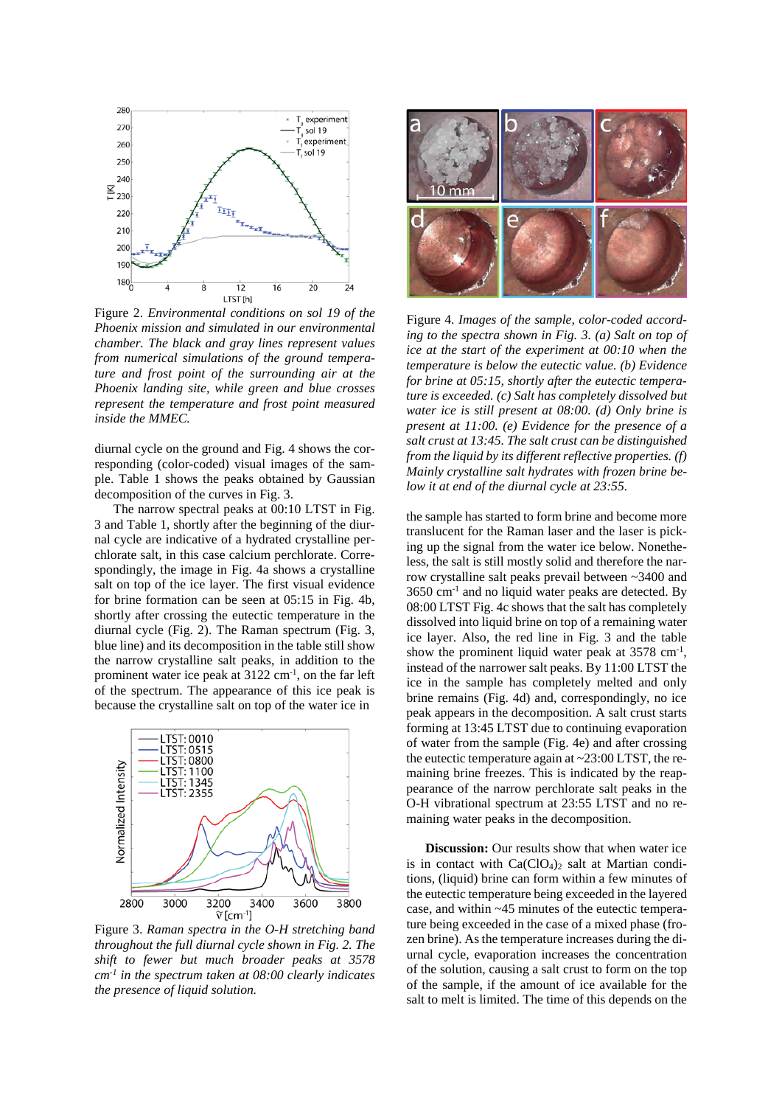

Figure 2. *Environmental conditions on sol 19 of the Phoenix mission and simulated in our environmental chamber. The black and gray lines represent values from numerical simulations of the ground temperature and frost point of the surrounding air at the Phoenix landing site, while green and blue crosses represent the temperature and frost point measured inside the MMEC.*

diurnal cycle on the ground and Fig. 4 shows the corresponding (color-coded) visual images of the sample. Table 1 shows the peaks obtained by Gaussian decomposition of the curves in Fig. 3.

The narrow spectral peaks at 00:10 LTST in Fig. 3 and Table 1, shortly after the beginning of the diurnal cycle are indicative of a hydrated crystalline perchlorate salt, in this case calcium perchlorate. Correspondingly, the image in Fig. 4a shows a crystalline salt on top of the ice layer. The first visual evidence for brine formation can be seen at 05:15 in Fig. 4b, shortly after crossing the eutectic temperature in the diurnal cycle (Fig. 2). The Raman spectrum (Fig. 3, blue line) and its decomposition in the table still show the narrow crystalline salt peaks, in addition to the prominent water ice peak at  $3122 \text{ cm}^{-1}$ , on the far left of the spectrum. The appearance of this ice peak is because the crystalline salt on top of the water ice in



Figure 3. *Raman spectra in the O-H stretching band throughout the full diurnal cycle shown in Fig. 2. The shift to fewer but much broader peaks at 3578 cm-1 in the spectrum taken at 08:00 clearly indicates the presence of liquid solution.*



Figure 4. *Images of the sample, color-coded according to the spectra shown in Fig. 3. (a) Salt on top of ice at the start of the experiment at 00:10 when the temperature is below the eutectic value. (b) Evidence for brine at 05:15, shortly after the eutectic temperature is exceeded. (c) Salt has completely dissolved but water ice is still present at 08:00. (d) Only brine is present at 11:00. (e) Evidence for the presence of a salt crust at 13:45. The salt crust can be distinguished from the liquid by its different reflective properties. (f) Mainly crystalline salt hydrates with frozen brine below it at end of the diurnal cycle at 23:55.*

the sample has started to form brine and become more translucent for the Raman laser and the laser is picking up the signal from the water ice below. Nonetheless, the salt is still mostly solid and therefore the narrow crystalline salt peaks prevail between ~3400 and  $3650$  cm<sup>-1</sup> and no liquid water peaks are detected. By 08:00 LTST Fig. 4c shows that the salt has completely dissolved into liquid brine on top of a remaining water ice layer. Also, the red line in Fig. 3 and the table show the prominent liquid water peak at  $3578 \text{ cm}^{-1}$ , instead of the narrower salt peaks. By 11:00 LTST the ice in the sample has completely melted and only brine remains (Fig. 4d) and, correspondingly, no ice peak appears in the decomposition. A salt crust starts forming at 13:45 LTST due to continuing evaporation of water from the sample (Fig. 4e) and after crossing the eutectic temperature again at  $\sim$  23:00 LTST, the remaining brine freezes. This is indicated by the reappearance of the narrow perchlorate salt peaks in the O-H vibrational spectrum at 23:55 LTST and no remaining water peaks in the decomposition.

**Discussion:** Our results show that when water ice is in contact with  $Ca(CIO<sub>4</sub>)<sub>2</sub>$  salt at Martian conditions, (liquid) brine can form within a few minutes of the eutectic temperature being exceeded in the layered case, and within ~45 minutes of the eutectic temperature being exceeded in the case of a mixed phase (frozen brine). As the temperature increases during the diurnal cycle, evaporation increases the concentration of the solution, causing a salt crust to form on the top of the sample, if the amount of ice available for the salt to melt is limited. The time of this depends on the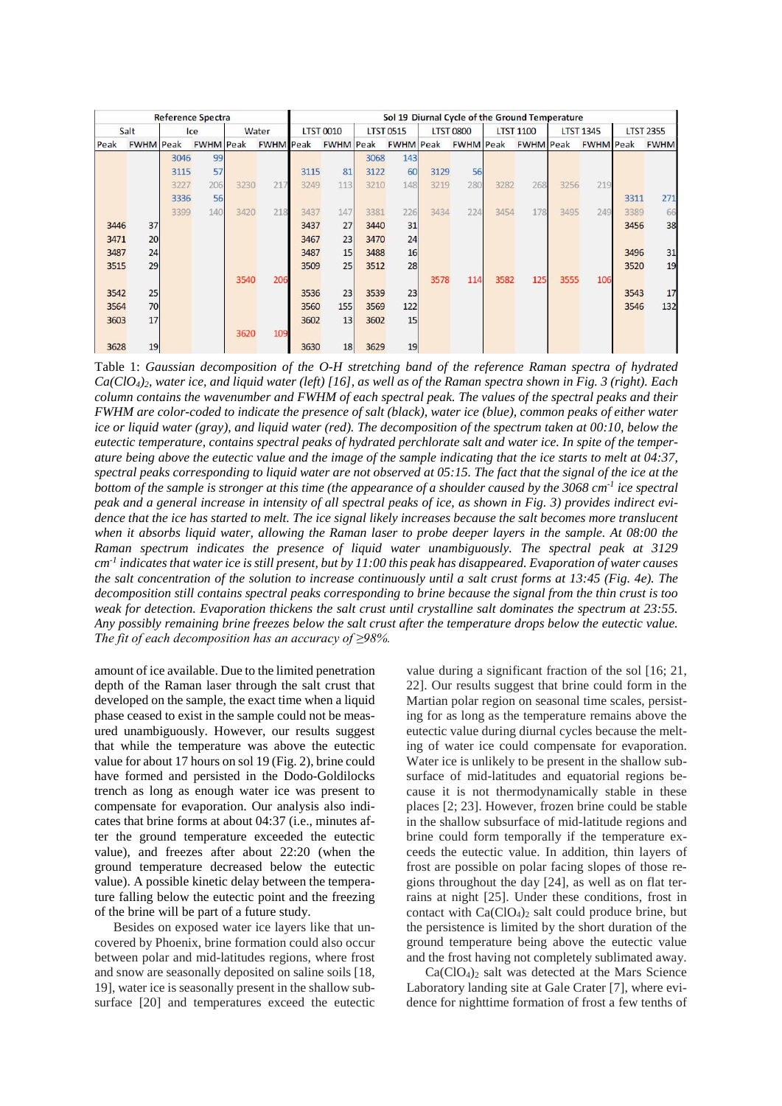| <b>Reference Spectra</b> |                  |      |                  |       |                  | Sol 19 Diurnal Cycle of the Ground Temperature |                  |                  |                  |                  |                  |                  |                  |                  |                  |                  |             |
|--------------------------|------------------|------|------------------|-------|------------------|------------------------------------------------|------------------|------------------|------------------|------------------|------------------|------------------|------------------|------------------|------------------|------------------|-------------|
| Salt                     |                  | Ice  |                  | Water |                  | <b>LTST 0010</b>                               |                  | <b>LTST 0515</b> |                  | <b>LTST 0800</b> |                  | <b>LTST 1100</b> |                  | <b>LTST 1345</b> |                  | <b>LTST 2355</b> |             |
| Peak                     | <b>FWHM</b> Peak |      | <b>FWHM</b> Peak |       | <b>FWHM</b> Peak |                                                | <b>FWHM</b> Peak |                  | <b>FWHM</b> Peak |                  | <b>FWHM</b> Peak |                  | <b>FWHM</b> Peak |                  | <b>FWHM</b> Peak |                  | <b>FWHM</b> |
|                          |                  | 3046 | 99               |       |                  |                                                |                  | 3068             | 143              |                  |                  |                  |                  |                  |                  |                  |             |
|                          |                  | 3115 | 57               |       |                  | 3115                                           | 81               | 3122             | 60               | 3129             | 56               |                  |                  |                  |                  |                  |             |
|                          |                  | 3227 | 206              | 3230  | 217              | 3249                                           | 113              | 3210             | 148              | 3219             | 280              | 3282             | 268              | 3256             | 219              |                  |             |
|                          |                  | 3336 | 56               |       |                  |                                                |                  |                  |                  |                  |                  |                  |                  |                  |                  | 3311             | 271         |
|                          |                  | 3399 | 140              | 3420  | 218              | 3437                                           | 147              | 3381             | 226              | 3434             | 224              | 3454             | 178              | 3495             | 249              | 3389             | 66          |
| 3446                     | 37               |      |                  |       |                  | 3437                                           | 27               | 3440             | 31               |                  |                  |                  |                  |                  |                  | 3456             | 38          |
| 3471                     | 20               |      |                  |       |                  | 3467                                           | 23               | 3470             | 24               |                  |                  |                  |                  |                  |                  |                  |             |
| 3487                     | 24               |      |                  |       |                  | 3487                                           | 15               | 3488             | 16               |                  |                  |                  |                  |                  |                  | 3496             | 31          |
| 3515                     | 29               |      |                  |       |                  | 3509                                           | 25               | 3512             | 28               |                  |                  |                  |                  |                  |                  | 3520             | 19          |
|                          |                  |      |                  | 3540  | 206              |                                                |                  |                  |                  | 3578             | 114              | 3582             | 125              | 3555             | 106              |                  |             |
| 3542                     | 25               |      |                  |       |                  | 3536                                           | 23               | 3539             | 23               |                  |                  |                  |                  |                  |                  | 3543             | 17          |
| 3564                     | 70               |      |                  |       |                  | 3560                                           | 155              | 3569             | 122              |                  |                  |                  |                  |                  |                  | 3546             | 132         |
| 3603                     | 17               |      |                  |       |                  | 3602                                           | 13               | 3602             | 15               |                  |                  |                  |                  |                  |                  |                  |             |
|                          |                  |      |                  | 3620  | 109              |                                                |                  |                  |                  |                  |                  |                  |                  |                  |                  |                  |             |
| 3628                     | 19               |      |                  |       |                  | 3630                                           | 18               | 3629             | 19               |                  |                  |                  |                  |                  |                  |                  |             |

Table 1: *Gaussian decomposition of the O-H stretching band of the reference Raman spectra of hydrated Ca(ClO4)2, water ice, and liquid water (left) [16], as well as of the Raman spectra shown in Fig. 3 (right). Each column contains the wavenumber and FWHM of each spectral peak. The values of the spectral peaks and their FWHM are color-coded to indicate the presence of salt (black), water ice (blue), common peaks of either water ice or liquid water (gray), and liquid water (red). The decomposition of the spectrum taken at 00:10, below the eutectic temperature, contains spectral peaks of hydrated perchlorate salt and water ice. In spite of the temperature being above the eutectic value and the image of the sample indicating that the ice starts to melt at 04:37, spectral peaks corresponding to liquid water are not observed at 05:15. The fact that the signal of the ice at the bottom of the sample is stronger at this time (the appearance of a shoulder caused by the 3068 cm-1 ice spectral peak and a general increase in intensity of all spectral peaks of ice, as shown in Fig. 3) provides indirect evidence that the ice has started to melt. The ice signal likely increases because the salt becomes more translucent when it absorbs liquid water, allowing the Raman laser to probe deeper layers in the sample. At 08:00 the Raman spectrum indicates the presence of liquid water unambiguously. The spectral peak at 3129 cm-1 indicates that water ice is still present, but by 11:00 this peak has disappeared. Evaporation of water causes the salt concentration of the solution to increase continuously until a salt crust forms at 13:45 (Fig. 4e). The decomposition still contains spectral peaks corresponding to brine because the signal from the thin crust is too weak for detection. Evaporation thickens the salt crust until crystalline salt dominates the spectrum at 23:55. Any possibly remaining brine freezes below the salt crust after the temperature drops below the eutectic value. The fit of each decomposition has an accuracy of ≥98%.*

amount of ice available. Due to the limited penetration depth of the Raman laser through the salt crust that developed on the sample, the exact time when a liquid phase ceased to exist in the sample could not be measured unambiguously. However, our results suggest that while the temperature was above the eutectic value for about 17 hours on sol 19 (Fig. 2), brine could have formed and persisted in the Dodo-Goldilocks trench as long as enough water ice was present to compensate for evaporation. Our analysis also indicates that brine forms at about 04:37 (i.e., minutes after the ground temperature exceeded the eutectic value), and freezes after about 22:20 (when the ground temperature decreased below the eutectic value). A possible kinetic delay between the temperature falling below the eutectic point and the freezing of the brine will be part of a future study.

Besides on exposed water ice layers like that uncovered by Phoenix, brine formation could also occur between polar and mid-latitudes regions, where frost and snow are seasonally deposited on saline soils [18, 19], water ice is seasonally present in the shallow subsurface [20] and temperatures exceed the eutectic

value during a significant fraction of the sol [16; 21, 22]. Our results suggest that brine could form in the Martian polar region on seasonal time scales, persisting for as long as the temperature remains above the eutectic value during diurnal cycles because the melting of water ice could compensate for evaporation. Water ice is unlikely to be present in the shallow subsurface of mid-latitudes and equatorial regions because it is not thermodynamically stable in these places [2; 23]. However, frozen brine could be stable in the shallow subsurface of mid-latitude regions and brine could form temporally if the temperature exceeds the eutectic value. In addition, thin layers of frost are possible on polar facing slopes of those regions throughout the day [24], as well as on flat terrains at night [25]. Under these conditions, frost in contact with  $Ca(CIO<sub>4</sub>)<sub>2</sub>$  salt could produce brine, but the persistence is limited by the short duration of the ground temperature being above the eutectic value and the frost having not completely sublimated away.

 $Ca(CIO<sub>4</sub>)<sub>2</sub>$  salt was detected at the Mars Science Laboratory landing site at Gale Crater [7], where evidence for nighttime formation of frost a few tenths of